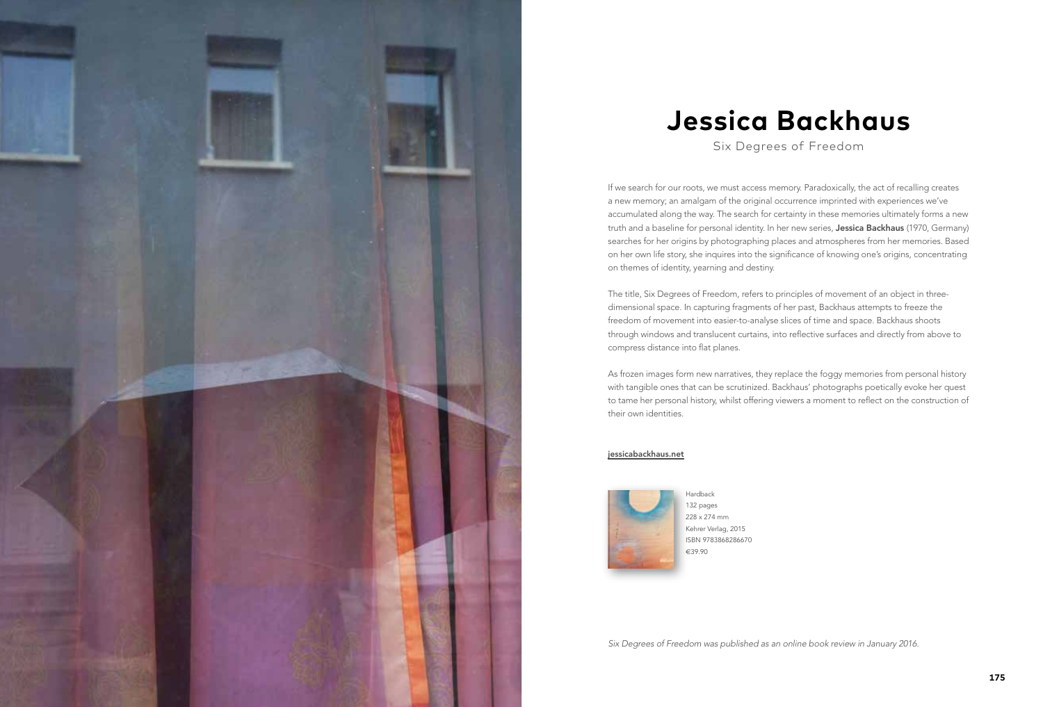

## **Jessica Backhaus**

Six Degrees of Freedom

If we search for our roots, we must access memory. Paradoxically, the act of recalling creates a new memory; an amalgam of the original occurrence imprinted with experiences we've accumulated along the way. The search for certainty in these memories ultimately forms a new truth and a baseline for personal identity. In her new series, Jessica Backhaus (1970, Germany) searches for her origins by photographing places and atmospheres from her memories. Based on her own life story, she inquires into the significance of knowing one's origins, concentrating on themes of identity, yearning and destiny.

The title, Six Degrees of Freedom, refers to principles of movement of an object in threedimensional space. In capturing fragments of her past, Backhaus attempts to freeze the freedom of movement into easier-to-analyse slices of time and space. Backhaus shoots through windows and translucent curtains, into reflective surfaces and directly from above to compress distance into flat planes.

As frozen images form new narratives, they replace the foggy memories from personal history with tangible ones that can be scrutinized. Backhaus' photographs poetically evoke her quest to tame her personal history, whilst offering viewers a moment to reflect on the construction of their own identities.

## jessicabackhaus.net



Hardback 132 pages 228 x 274 mm Kehrer Verlag, 2015 ISBN 9783868286670 €39.90

*Six Degrees of Freedom was published as an online book review in January 2016.*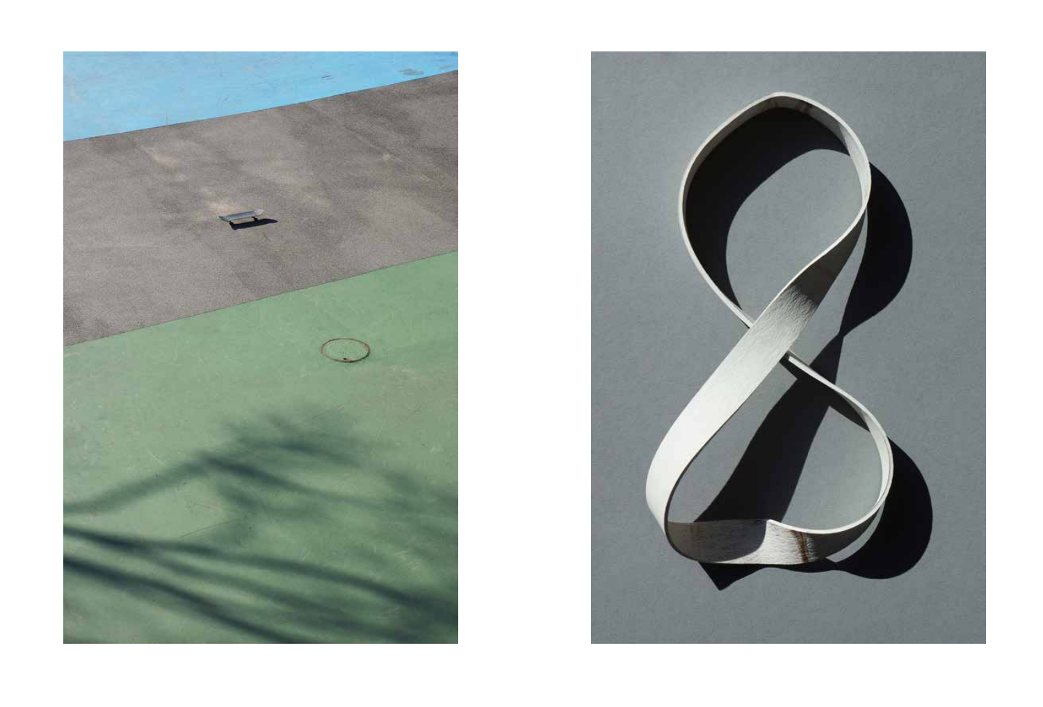

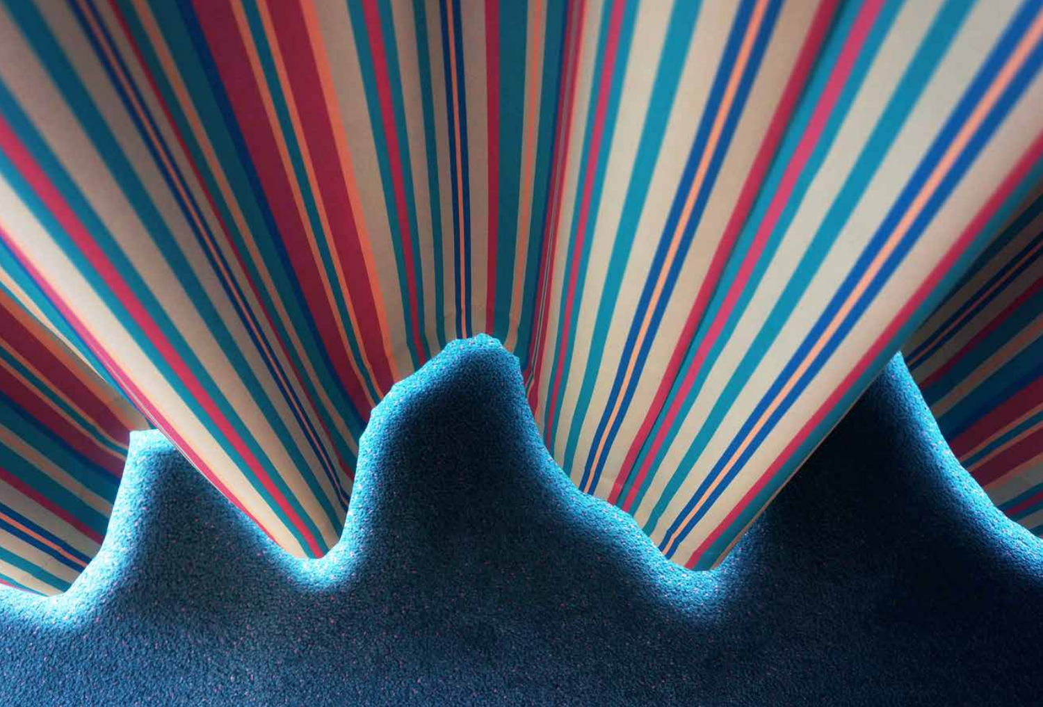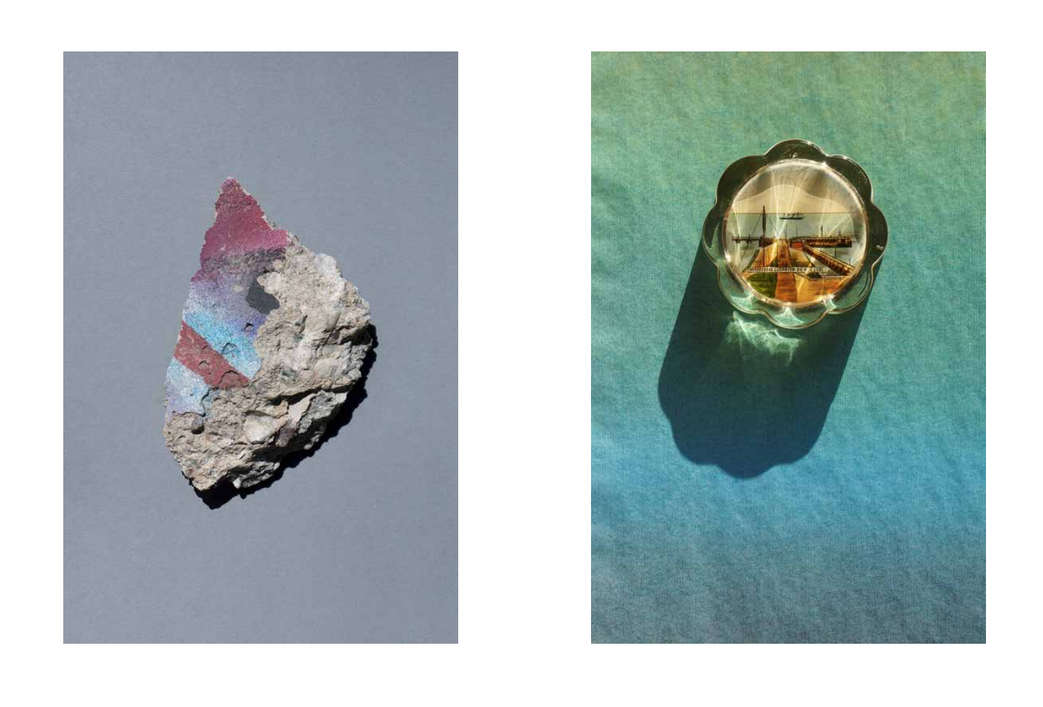

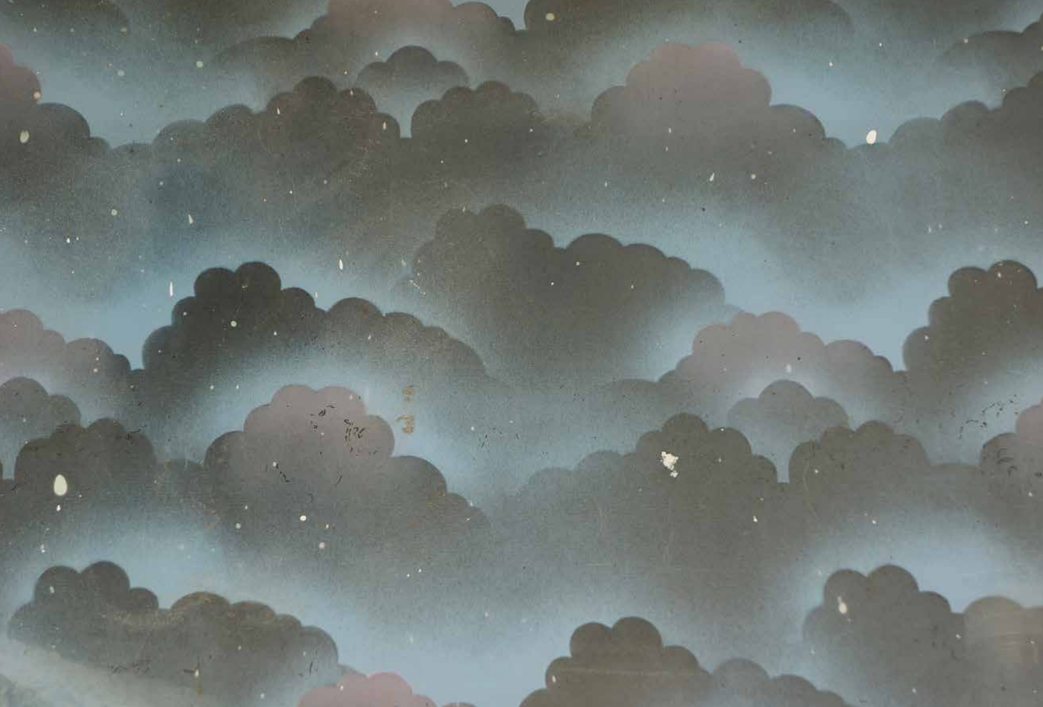